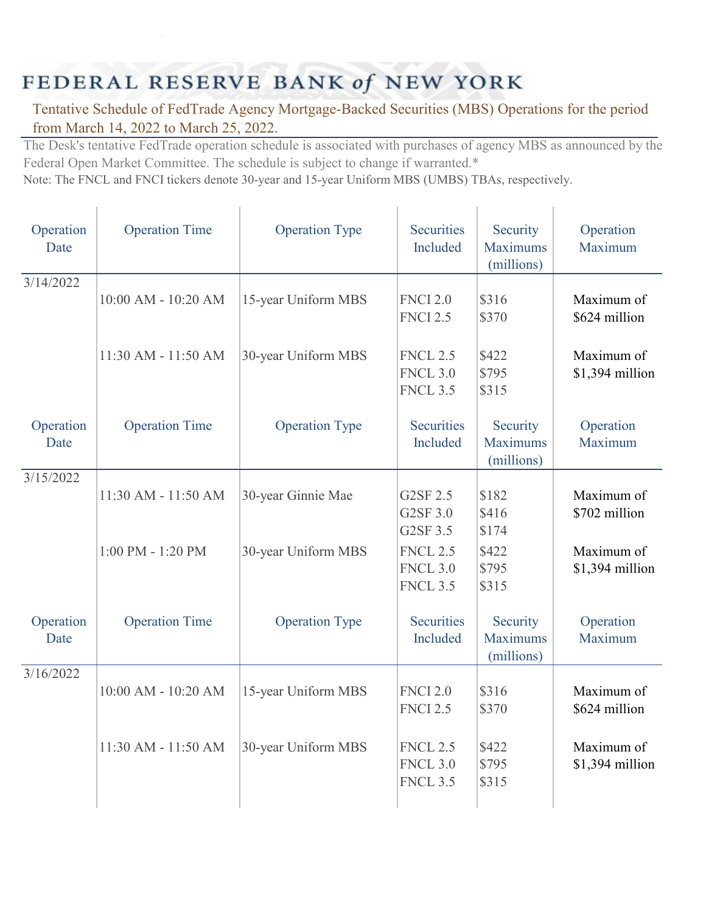## FEDERAL RESERVE BANK of NEW YORK

## Tentative Schedule of FedTrade Agency Mortgage-Backed Securities (MBS) Operations for the period from March 14, 2022 to March 25, 2022.

The Desk's tentative FedTrade operation schedule is associated with purchases of agency MBS as announced by the Federal Open Market Committee. The schedule is subject to change if warranted.\*

Note: The FNCL and FNCI tickers denote 30-year and 15-year Uniform MBS (UMBS) TBAs, respectively.

| Operation<br>Date | <b>Operation Time</b> | <b>Operation Type</b> | Securities<br>Included                                | Security<br><b>Maximums</b><br>(millions) | Operation<br>Maximum          |
|-------------------|-----------------------|-----------------------|-------------------------------------------------------|-------------------------------------------|-------------------------------|
| 3/14/2022         | 10:00 AM - 10:20 AM   | 15-year Uniform MBS   | <b>FNCI 2.0</b><br><b>FNCI 2.5</b>                    | \$316<br>\$370                            | Maximum of<br>\$624 million   |
|                   | 11:30 AM - 11:50 AM   | 30-year Uniform MBS   | <b>FNCL 2.5</b><br><b>FNCL 3.0</b><br><b>FNCL 3.5</b> | \$422<br>\$795<br>\$315                   | Maximum of<br>\$1,394 million |
| Operation<br>Date | <b>Operation Time</b> | <b>Operation Type</b> | <b>Securities</b><br>Included                         | Security<br><b>Maximums</b><br>(millions) | Operation<br>Maximum          |
| 3/15/2022         | 11:30 AM - 11:50 AM   | 30-year Ginnie Mae    | G2SF 2.5<br>G2SF 3.0<br>G2SF 3.5                      | \$182<br>\$416<br>\$174                   | Maximum of<br>\$702 million   |
|                   | $1:00$ PM - $1:20$ PM | 30-year Uniform MBS   | <b>FNCL 2.5</b><br><b>FNCL 3.0</b><br><b>FNCL 3.5</b> | \$422<br>\$795<br>\$315                   | Maximum of<br>\$1,394 million |
| Operation<br>Date | <b>Operation Time</b> | <b>Operation Type</b> | <b>Securities</b><br>Included                         | Security<br><b>Maximums</b><br>(millions) | Operation<br>Maximum          |
| 3/16/2022         | 10:00 AM - 10:20 AM   | 15-year Uniform MBS   | <b>FNCI 2.0</b><br><b>FNCI 2.5</b>                    | \$316<br>\$370                            | Maximum of<br>\$624 million   |
|                   | 11:30 AM - 11:50 AM   | 30-year Uniform MBS   | <b>FNCL 2.5</b><br><b>FNCL 3.0</b><br><b>FNCL 3.5</b> | \$422<br>\$795<br>\$315                   | Maximum of<br>\$1,394 million |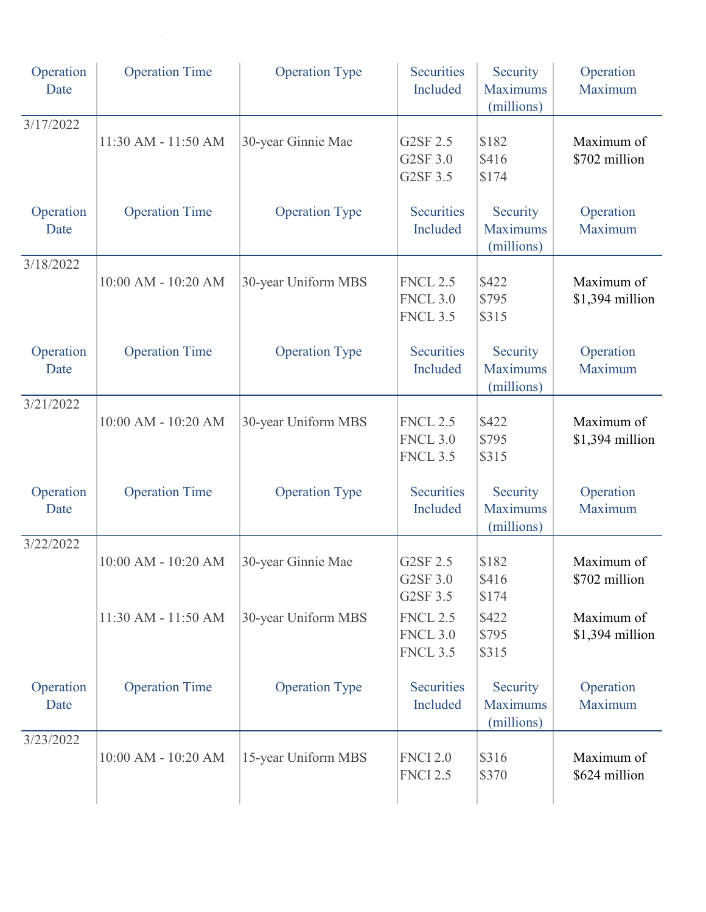| Operation<br>Date | <b>Operation Time</b> | <b>Operation Type</b> | <b>Securities</b><br>Included                         | Security<br><b>Maximums</b><br>(millions) | Operation<br>Maximum          |
|-------------------|-----------------------|-----------------------|-------------------------------------------------------|-------------------------------------------|-------------------------------|
| 3/17/2022         | 11:30 AM - 11:50 AM   | 30-year Ginnie Mae    | G2SF 2.5<br>G2SF 3.0<br>G2SF 3.5                      | \$182<br>\$416<br>\$174                   | Maximum of<br>\$702 million   |
| Operation<br>Date | <b>Operation Time</b> | <b>Operation Type</b> | <b>Securities</b><br>Included                         | Security<br><b>Maximums</b><br>(millions) | Operation<br>Maximum          |
| 3/18/2022         | 10:00 AM - 10:20 AM   | 30-year Uniform MBS   | <b>FNCL 2.5</b><br><b>FNCL 3.0</b><br><b>FNCL 3.5</b> | \$422<br>\$795<br>\$315                   | Maximum of<br>\$1,394 million |
| Operation<br>Date | <b>Operation Time</b> | <b>Operation Type</b> | <b>Securities</b><br>Included                         | Security<br><b>Maximums</b><br>(millions) | Operation<br>Maximum          |
| 3/21/2022         | 10:00 AM - 10:20 AM   | 30-year Uniform MBS   | <b>FNCL 2.5</b><br><b>FNCL 3.0</b><br><b>FNCL 3.5</b> | \$422<br>\$795<br>\$315                   | Maximum of<br>\$1,394 million |
| Operation<br>Date | <b>Operation Time</b> | <b>Operation Type</b> | <b>Securities</b><br>Included                         | Security<br><b>Maximums</b><br>(millions) | Operation<br>Maximum          |
| 3/22/2022         | 10:00 AM - 10:20 AM   | 30-year Ginnie Mae    | G2SF 2.5<br>G2SF 3.0<br>G2SF 3.5                      | \$182<br>\$416<br>\$174                   | Maximum of<br>\$702 million   |
|                   | 11:30 AM - 11:50 AM   | 30-year Uniform MBS   | <b>FNCL 2.5</b><br><b>FNCL 3.0</b><br><b>FNCL 3.5</b> | \$422<br>\$795<br>\$315                   | Maximum of<br>\$1,394 million |
| Operation<br>Date | <b>Operation Time</b> | <b>Operation Type</b> | <b>Securities</b><br>Included                         | Security<br><b>Maximums</b><br>(millions) | Operation<br>Maximum          |
| 3/23/2022         | 10:00 AM - 10:20 AM   | 15-year Uniform MBS   | <b>FNCI 2.0</b><br><b>FNCI 2.5</b>                    | \$316<br>\$370                            | Maximum of<br>\$624 million   |